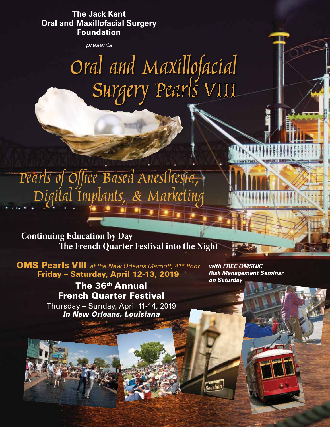**The Jack Kent Oral and Maxillofacial Surgery Foundation** 

*presents*

*Oral and Maxillofacial Surgery Pearls VIII*

*Pearls of Office Based Anesthesia, Digital Implants, & Marketing*

**The French Quarter Festival into the Night Continuing Education by Day**

OMS Pearls VIII *at the New Orleans Marriott, 41st floor* Friday – Saturday, April 12-13, 2019

> The 36<sup>th</sup> Annual French Quarter Festival Thursday – Sunday, April 11-14, 2019 *In New Orleans, Louisiana*

*with FREE OMSNIC Risk Management Seminar on Saturday*

Rourbon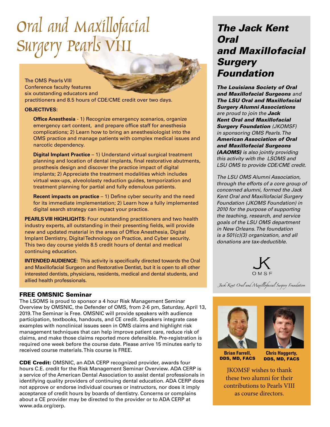## *Oral and Maxillofacial Surgery Pearls VIII*

The OMS Pearls VIII Conference faculty features six outstanding educators and practitioners and 8.5 hours of CDE/CME credit over two days.

#### **OBJECTIVES:**

**Office Anesthesia** - 1) Recognize emergency scenarios, organize emergency cart content, and prepare office staff for anesthesia complications; 2) Learn how to bring an anesthesiologist into the OMS practice and manage patients with complex medical issues and narcotic dependency.

**Digital Implant Practice - 1) Understand virtual surgical treatment** planning and location of dental implants, final restorative abutments, prosthesis design and discover the practice impact of digital implants; 2) Appreciate the treatment modalities which includes virtual wax-ups, alveololasty reduction guides, temporization and treatment planning for partial and fully edenulous patients.

**Recent impacts on practice** – 1) Define cyber security and the need for its immediate implementation; 2) Learn how a fully implemented digital search strategy can impact your practice.

**PEARLS VIII HIGHLIGHTS:** Four outstanding practitioners and two health industry experts, all outstanding in their presenting fields, will provide new and updated material in the areas of Office Anesthesia, Digital Implant Dentistry, Digital Technology on Practice, and Cyber security. This two day course yields 8.5 credit hours of dental and medical continuing education.

**INTENDED AUDIENCE:** This activity is specifically directed towards the Oral and Maxillofacial Surgeon and Restorative Dentist, but it is open to all other interested dentists, physicians, residents, medical and dental students, and allied health professionals.

### FREE OMSNIC Seminar

The LSOMS is proud to sponsor a 4 hour Risk Management Seminar Overview by OMSNIC, the Defender of OMS, from 2-6 pm, Saturday, April 13, 2019. The Seminar is Free. OMSNIC will provide speakers with audience participation, textbooks, handouts, and CE credit. Speakers integrate case examples with nonclinical issues seen in OMS claims and highlight risk management techniques that can help improve patient care, reduce risk of claims, and make those claims reported more defensible. Pre-registration is required one week before the course date. Please arrive 15 minutes early to received course materials. This course is FREE.

CDE Credit: OMSNIC, an ADA CERP recognized provider, awards four hours C.E. credit for the Risk Management Seminar Overview. ADA CERP is a service of the American Dental Association to assist dental professionals in identifying quality providers of continuing dental education. ADA CERP does not approve or endorse individual courses or instructors, nor does it imply acceptance of credit hours by boards of dentistry. Concerns or complains about a CE provider may be directed to the provider or to ADA CERP at www.ada.org/cerp.

### *The Jack Kent Oral and Maxillofacial Surgery Foundation*

*The Louisiana Society of Oral and Maxillofacial Surgeons and The LSU Oral and Maxillofacial Surgery Alumni Associations are proud to join the Jack Kent Oral and Maxillofacial Surgery Foundation (JKOMSF) in sponsoring OMS Pearls. The American Association of Oral and Maxillofacial Surgeons (AAOMS) is also jointly providing this activity with the LSOMS and LSU OMS to provide CDE/CME credit.* 

*The LSU OMS Alumni Association, through the efforts of a core group of concerned alumni, formed the Jack Kent Oral and Maxillofacial Surgery Foundation (JKOMS Foundation) in 2010 for the purpose of supporting the teaching, research, and service goals of the LSU OMS department in New Orleans. The foundation is a 501(c)(3) organization, and all donations are tax-deductible.*



Jack Kent Oral and Maxillofacial Surgery Foundation





**Brian Farrell,**  DDS, MD, FACS

**Chris Haggerty,**  DDS, MD, FACS

JKOMSF wishes to thank these two alumni for their contributions to Pearls VIII as course directors.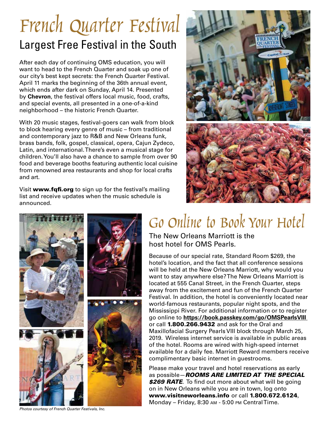### *French Quarter Festival* Largest Free Festival in the South

After each day of continuing OMS education, you will want to head to the French Quarter and soak up one of our city's best kept secrets: the French Quarter Festival. April 11 marks the beginning of the 36th annual event, which ends after dark on Sunday, April 14. Presented by **Chevron**, the festival offers local music, food, crafts, and special events, all presented in a one-of-a-kind neighborhood – the historic French Quarter.

With 20 music stages, festival-goers can walk from block to block hearing every genre of music – from traditional and contemporary jazz to R&B and New Orleans funk, brass bands, folk, gospel, classical, opera, Cajun Zydeco, Latin, and international. There's even a musical stage for children. You'll also have a chance to sample from over 90 food and beverage booths featuring authentic local cuisine from renowned area restaurants and shop for local crafts and art.

Visit www.fqfi.org to sign up for the festival's mailing list and receive updates when the music schedule is announced.





### *Go Online to Book Your Hotel*

The New Orleans Marriott is the host hotel for OMS Pearls.

Because of our special rate, Standard Room \$269, the hotel's location, and the fact that all conference sessions will be held at the New Orleans Marriott, why would you want to stay anywhere else? The New Orleans Marriott is located at 555 Canal Street, in the French Quarter, steps away from the excitement and fun of the French Quarter Festival. In addition, the hotel is conveniently located near world-famous restaurants, popular night spots, and the Mississippi River. For additional information or to register go online to **https://book.passkey.com/go/OMSPearlsVIII**  or call 1.800.266.9432 and ask for the Oral and Maxillofacial Surgery Pearls VIII block through March 25, 2019. Wireless internet service is available in public areas of the hotel. Rooms are wired with high-speed internet available for a daily fee. Marriott Reward members receive complimentary basic internet in guestrooms.

Please make your travel and hotel reservations as early as possible—*ROOMS ARE LIMITED AT THE SPECIAL*  **\$269 RATE**. To find out more about what will be going on in New Orleans while you are in town, log onto www.visitneworleans.info or call 1.800.672.6124. Monday – Friday, 8:30 am - 5:00 pm Central Time.

*Photos courtesy of French Quarter Festivals, Inc.*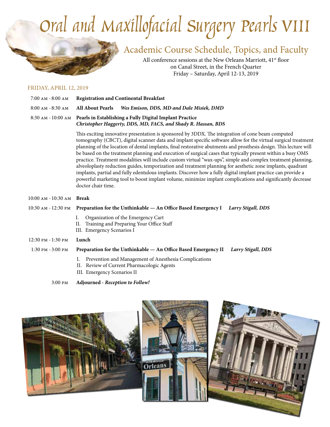# *Oral and Maxillofacial Surgery Pearls VIII*

Academic Course Schedule, Topics, and Faculty

All conference sessions at the New Orleans Marriott, 41<sup>st</sup> floor on Canal Street, in the French Quarter Friday – Saturday, April 12-13, 2019

#### FRIDAY, APRIL 12, 2019

| 7:00 AM - 8:00 AM    | <b>Registration and Continental Breakfast</b>                                                                                                                                                                                                                                                                                                                                                                                                              |
|----------------------|------------------------------------------------------------------------------------------------------------------------------------------------------------------------------------------------------------------------------------------------------------------------------------------------------------------------------------------------------------------------------------------------------------------------------------------------------------|
| $8:00$ AM $-8:30$ AM | Wes Emison, DDS, MD and Dale Misiek, DMD<br><b>All About Pearls</b>                                                                                                                                                                                                                                                                                                                                                                                        |
|                      | 8:30 AM - 10:00 AM Pearls in Establishing a Fully Digital Implant Practice<br>Christopher Haggerty, DDS, MD, FACS, and Shady R. Hassan, BDS                                                                                                                                                                                                                                                                                                                |
|                      | This exciting innovative presentation is sponsored by 3DDX. The integration of cone beam computed<br>tomography (CBCT), digital scanner data and implant specific software allow for the virtual surgical treatment<br>planning of the location of dental implants, final restorative abutments and prosthesis design. This lecture will<br>ka kaaad on tha tuastus ont planning and amantian of questionl access that typically pussant within a hugy OMC |

posthesis design. This lecture will be based on the treatment planning and execution of surgical cases that typically present within a busy OMS practice. Treatment modalities will include custom virtual "wax-ups", simple and complex treatment planning, alveoloplasty reduction guides, temporization and treatment planning for aesthetic zone implants, quadrant implants, partial and fully edentulous implants. Discover how a fully digital implant practice can provide a powerful marketing tool to boost implant volume, minimize implant complications and significantly decrease doctor chair time.

#### 10:00 am - 10:30 am **Break**

10:30 am - 12:30 pm **Preparation for the Unthinkable — An Office Based Emergency I** *Larry Stigall, DDS*

- I. Organization of the Emergency Cart
- II. Training and Preparing Your Office Staff
- III. Emergency Scenarios I
- 12:30 pm 1:30 pm **Lunch**
- 1:30 pm 3:00 pm **Preparation for the Unthinkable An Office Based Emergency II** *Larry Stigall, DDS*
	- I. Prevention and Management of Anesthesia Complications
	- II. Review of Current Pharmacologic Agents
	- III. Emergency Scenarios II

3:00 pm **Adjourned -** *Reception to Follow!*

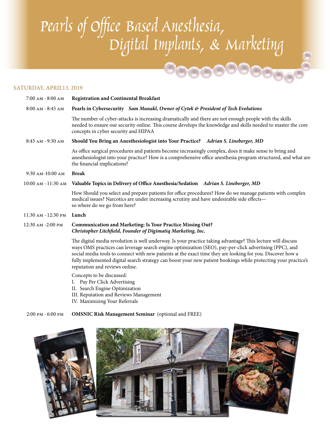## *Pearls of Office Based Anesthesia, Digital Implants, & Marketing*

### SATURDAY, APRIL13, 2019

| $7:00$ AM $-8:00$ AM | <b>Registration and Continental Breakfast</b>                                                                                                                                                                                                                                                                                                                                                                                                                                           |
|----------------------|-----------------------------------------------------------------------------------------------------------------------------------------------------------------------------------------------------------------------------------------------------------------------------------------------------------------------------------------------------------------------------------------------------------------------------------------------------------------------------------------|
| $8:00$ AM $-8:45$ AM | Pearls in Cybersecurity Sam Munakl, Owner of Cytek & President of Tech Evolutions                                                                                                                                                                                                                                                                                                                                                                                                       |
|                      | The number of cyber-attacks is increasing dramatically and there are not enough people with the skills<br>needed to ensure our security online. This course develops the knowledge and skills needed to master the core<br>concepts in cyber security and HIPAA                                                                                                                                                                                                                         |
| 8:45 AM - 9:30 AM    | Should You Bring an Anesthesiologist into Your Practice? Adrian S. Lineberger, MD                                                                                                                                                                                                                                                                                                                                                                                                       |
|                      | As office surgical procedures and patients become increasingly complex, does it make sense to bring and<br>anesthesiologist into your practice? How is a comprehensive office anesthesia program structured, and what are<br>the financial implications?                                                                                                                                                                                                                                |
| 9:30 AM-10:00 AM     | <b>Break</b>                                                                                                                                                                                                                                                                                                                                                                                                                                                                            |
| 10:00 AM - 11:30 AM  | Valuable Topics in Delivery of Office Anesthesia/Sedation Adrian S. Lineberger, MD                                                                                                                                                                                                                                                                                                                                                                                                      |
|                      | How Should you select and prepare patients for office procedures? How do we manage patients with complex<br>medical issues? Narcotics are under increasing scrutiny and have undesirable side effects-<br>so where do we go from here?                                                                                                                                                                                                                                                  |
| 11:30 AM - 12:30 PM  | Lunch                                                                                                                                                                                                                                                                                                                                                                                                                                                                                   |
| 12:30 AM -2:00 PM    | Communication and Marketing: Is Your Practice Missing Out?<br>Christopher Litchfield, Founder of Digimatiq Marketing, Inc.                                                                                                                                                                                                                                                                                                                                                              |
|                      | The digital media revolution is well underway. Is your practice taking advantage? This lecture will discuss<br>ways OMS practices can leverage search engine optimization (SEO), pay-per-click advertising (PPC), and<br>social media tools to connect with new patients at the exact time they are looking for you. Discover how a<br>fully implemented digital search strategy can boost your new patient bookings while protecting your practice's<br>reputation and reviews online. |
|                      | Concepts to be discussed:<br>I. Pay Per Click Advertising                                                                                                                                                                                                                                                                                                                                                                                                                               |

- II. Search Engine Optimization
- III. Reputation and Reviews Management
- IV. Maximizing Your Referrals

### 2:00 pm - 6:00 pm **OMSNIC Risk Management Seminar** (optional and FREE)

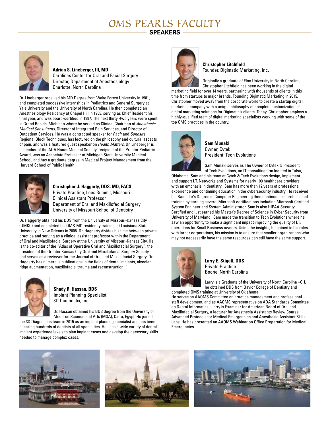### *OMS PEARLS FACULTY*

### **SPEAKERS**



#### **Adrian S. Lineberger, III, MD**

Carolinas Center for Oral and Facial Surgery Director, Department of Anesthesiology Charlotte, North Carolina

Dr. Lineberger received his MD Degree from Wake Forest University in 1981, and completed successive internships in Pediatrics and General Surgery at Yale University and the University of North Carolina. He then completed an Anesthesiology Residency at Chapel Hill in 1985, serving as Chief Resident his final year, and was board-certified in 1987. The next thirty -two years were spent in Grand Rapids, Michigan where he served as Clinical Chairman of *Anesthesia Medical Consultants*, Director of Integrated Pain Services, and Director of Outpatient Services. He was a contracted speaker for *Pacir* and *Sonosite*  Regional Block Techniques, has lectured on the philosophy and cultural aspects of pain, and was a featured guest speaker on *Health Matters*. Dr. Lineberger is a member of the AOA Honor Medical Society, recipient of the Proctor Pediatric Award, was an Associate Professor at Michigan State University Medical School, and has a graduate degree in Medical Project Management from the Harvard School of Public Health.



**Christopher J. Haggerty, DDS, MD, FACS**  Private Practice, Lees Summit, Missouri Clinical Assistant Professor Department of Oral and Maxillofacial Surgery University of Missouri School of Dentistry

Dr. Haggerty obtained his DDS from the University of Missouri-Kansas City (UMKC) and completed his OMS-MD residency training at Louisiana State University in New Orleans in 2008. Dr. Haggerty divides his time between private practice and serving as a clinical assistant professor within the Department of Oral and Maxillofacial Surgery at the University of Missouri-Kansas City. He is the co-editor of the "Atlas of Operative Oral and Maxillofacial Surgery", the president of the Greater Kansas City Oral and Maxillofacial Surgery Society and serves as a reviewer for the Journal of Oral and Maxillofacial Surgery. Dr. Haggerty has numerous publications in the fields of dental implants, alveolar ridge augmentation, maxillofacial trauma and reconstruction. `



**Shady R. Hassan, BDS** Implant Planning Specialist 3D Diagnostix, Inc.

Dr. Hassan obtained his BDS degree from the University of Moderen Science and Arts (MSA), Cairo, Egypt. He joined

the 3D Diagnostics team in 2015 as an implant planning specialist and has been assisting hundreds of dentists of all specialties. He uses a wide variety of dental implant experience levels to plan implant cases and develop the necessary skills needed to manage complex cases.



**Christopher Litchfield** Founder, Digimatiq Marketing, Inc.

Originally a graduate of Elon University in North Carolina, Christopher Litchfield has been working in the digital marketing field for over 14 years, partnering with thousands of clients in this time from startups to major brands. Founding Digimatiq Marketing in 2015, Christopher moved away from the corporate world to create a startup digital marketing company with a unique philosophy of complete customization of digital marketing solutions for Digimatiq's clients. Today, Christopher employs a highly-qualified team of digital marketing specialists working with some of the top OMS practices in the country.



**Sam Munakl** Owner, Cytek President, Tech Evolutions

Sam Munakl serves as The Owner of Cytek & President of Tech Evolutions, an IT consulting firm located in Tulsa,

Oklahoma. Sam and his team at Cytek & Tech Evolutions design, implement and support I.T. Networks and Systems for nearly 100 healthcare providers with an emphasis in dentistry. Sam has more than 12 years of professional experience and continuing education in the cybersecurity industry. He received his Bachelor's Degree in Computer Engineering then continued his professional training by earning several Microsoft certifications including Microsoft Certified System Engineer and System Administrator. Sam is also HIPAA Security Certified and just earned his Master's Degree of Science in Cyber Security from University of Maryland. Sam made the transition to Tech Evolutions where he saw an opportunity to make a significant impact improving the quality of I.T. operations for Small Business owners. Using the insights, he gained in his roles with larger corporations, his mission is to ensure that smaller organizations who may not necessarily have the same resources can still have the same support.



**Larry E. Stigall, DDS** Private Practice Boone, North Carolina

Larry is a Graduate of the University of North Carolina –CH, he obtained DDS from Baylor College of Dentistry and completed OMS training at University of Oklahoma.

He serves on AAOMS Committee on practice management and professional staff development, and as AAOMS representative on ADA Standards Committee on Dental Informatics. Larry is Examiner for American Board of Oral and Maxillofacial Surgery, a lecturer for Anesthesia Assistants Review Course, Advanced Protocols for Medical Emergencies and Anesthesia Assistant Skills Labs. He has presented an AAOMS Webinar on Office Preparation for Medical Emergencies.





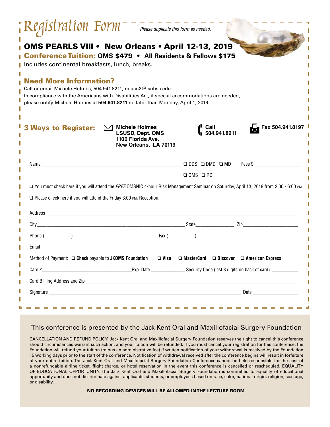|        | OMS PEARLS VIII . New Orleans . April 12-13, 2019<br>Conference Tuition: OMS \$479 . All Residents & Fellows \$175<br>Includes continental breakfasts, lunch, breaks.                                                                                                                 |
|--------|---------------------------------------------------------------------------------------------------------------------------------------------------------------------------------------------------------------------------------------------------------------------------------------|
|        | <b>Need More Information?</b><br>Call or email Michele Holmes, 504.941.8211, mjaco2@Isuhsc.edu.<br>In compliance with the Americans with Disabilities Act, if special accommodations are needed,<br>please notify Michele Holmes at 504.941.8211 no later than Monday, April 1, 2019. |
|        | $\triangleright\!\!\!\!\triangleleft$ Michele Holmes<br>Fax 504.941.8197<br>Call<br><b>Ways to Register:</b><br>$\blacksquare$ 504.941.8211<br><b>LSUSD, Dept. OMS</b><br>1100 Florida Ave.<br>New Orleans, LA 70119                                                                  |
|        | Fees \$<br>$\Box$ DDS $\Box$ DMD $\Box$ MD<br>Name<br><u> 1980 - Johann Stoff, deutscher Stoff, der Stoff, der Stoff, der Stoff, der Stoff, der Stoff, der Stoff, der S</u><br>$\Box$ OMS $\Box$ RD                                                                                   |
|        | □ You must check here if you will attend the FREE OMSNIC 4-hour Risk Management Seminar on Saturday, April 13, 2019 from 2:00 - 6:00 PM.                                                                                                                                              |
|        | $\Box$ Please check here if you will attend the Friday 3:00 PM. Reception.                                                                                                                                                                                                            |
|        |                                                                                                                                                                                                                                                                                       |
|        |                                                                                                                                                                                                                                                                                       |
|        |                                                                                                                                                                                                                                                                                       |
|        |                                                                                                                                                                                                                                                                                       |
|        | Method of Payment: □ Check payable to JKOMS Foundation □ Visa □ MasterCard □ Discover □ American Express                                                                                                                                                                              |
| I<br>I |                                                                                                                                                                                                                                                                                       |
| I      |                                                                                                                                                                                                                                                                                       |
| I      |                                                                                                                                                                                                                                                                                       |
| I      |                                                                                                                                                                                                                                                                                       |

### This conference is presented by the Jack Kent Oral and Maxillofacial Surgery Foundation

CANCELLATION AND REFUND POLICY: Jack Kent Oral and Maxillofacial Surgery Foundation reserves the right to cancel this conference should circumstances warrant such action, and your tuition will be refunded. If you must cancel your registration for this conference, the Foundation will refund your tuition (minus an administrative fee) if written notification of your withdrawal is received by the Foundation 15 working days prior to the start of the conference. Notification of withdrawal received after the conference begins will result in forfeiture of your entire tuition. The Jack Kent Oral and Maxillofacial Surgery Foundation Conference cannot be held responsible for the cost of a nonrefundable airline ticket, flight charge, or hotel reservation in the event this conference is cancelled or rescheduled. EQUALITY OF EDUCATIONAL OPPORTUNITY: The Jack Kent Oral and Maxillofacial Surgery Foundation is committed to equality of educational opportunity and does not discriminate against applicants, students, or employees based on race, color, national origin, religion, sex, age, or disability.

NO RECORDING DEVICES WILL BE ALLOWED IN THE LECTURE ROOM.